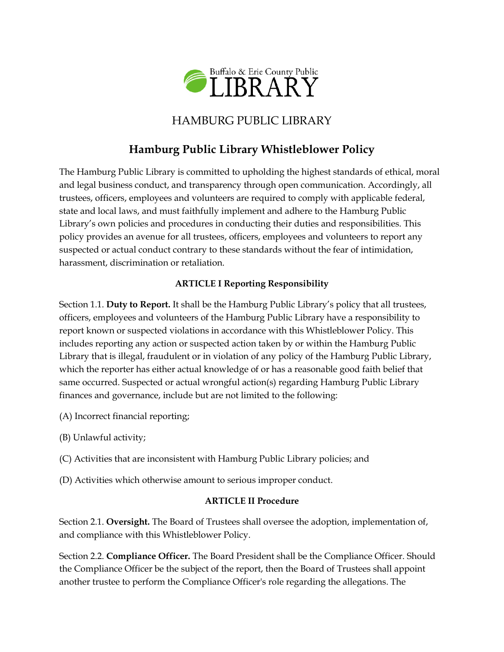

# HAMBURG PUBLIC LIBRARY

# **Hamburg Public Library Whistleblower Policy**

The Hamburg Public Library is committed to upholding the highest standards of ethical, moral and legal business conduct, and transparency through open communication. Accordingly, all trustees, officers, employees and volunteers are required to comply with applicable federal, state and local laws, and must faithfully implement and adhere to the Hamburg Public Library's own policies and procedures in conducting their duties and responsibilities. This policy provides an avenue for all trustees, officers, employees and volunteers to report any suspected or actual conduct contrary to these standards without the fear of intimidation, harassment, discrimination or retaliation.

### **ARTICLE I Reporting Responsibility**

Section 1.1. **Duty to Report.** It shall be the Hamburg Public Library's policy that all trustees, officers, employees and volunteers of the Hamburg Public Library have a responsibility to report known or suspected violations in accordance with this Whistleblower Policy. This includes reporting any action or suspected action taken by or within the Hamburg Public Library that is illegal, fraudulent or in violation of any policy of the Hamburg Public Library, which the reporter has either actual knowledge of or has a reasonable good faith belief that same occurred. Suspected or actual wrongful action(s) regarding Hamburg Public Library finances and governance, include but are not limited to the following:

- (A) Incorrect financial reporting;
- (B) Unlawful activity;
- (C) Activities that are inconsistent with Hamburg Public Library policies; and
- (D) Activities which otherwise amount to serious improper conduct.

### **ARTICLE II Procedure**

Section 2.1. **Oversight.** The Board of Trustees shall oversee the adoption, implementation of, and compliance with this Whistleblower Policy.

Section 2.2. **Compliance Officer.** The Board President shall be the Compliance Officer. Should the Compliance Officer be the subject of the report, then the Board of Trustees shall appoint another trustee to perform the Compliance Officer's role regarding the allegations. The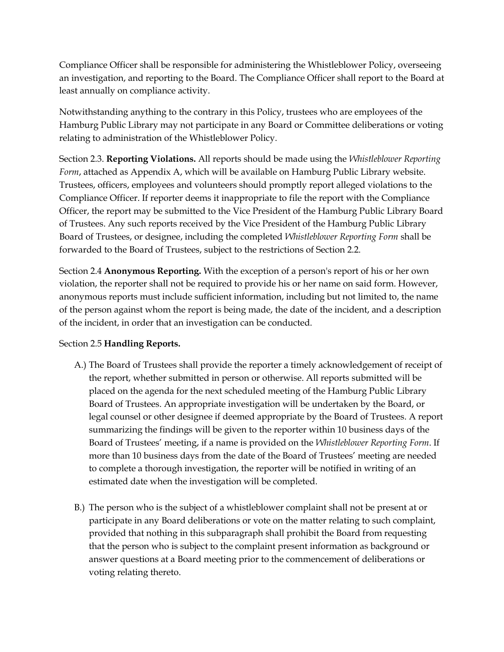Compliance Officer shall be responsible for administering the Whistleblower Policy, overseeing an investigation, and reporting to the Board. The Compliance Officer shall report to the Board at least annually on compliance activity.

Notwithstanding anything to the contrary in this Policy, trustees who are employees of the Hamburg Public Library may not participate in any Board or Committee deliberations or voting relating to administration of the Whistleblower Policy.

Section 2.3. **Reporting Violations.** All reports should be made using the *Whistleblower Reporting Form*, attached as Appendix A, which will be available on Hamburg Public Library website. Trustees, officers, employees and volunteers should promptly report alleged violations to the Compliance Officer. If reporter deems it inappropriate to file the report with the Compliance Officer, the report may be submitted to the Vice President of the Hamburg Public Library Board of Trustees. Any such reports received by the Vice President of the Hamburg Public Library Board of Trustees, or designee, including the completed *Whistleblower Reporting Form* shall be forwarded to the Board of Trustees, subject to the restrictions of Section 2.2.

Section 2.4 **Anonymous Reporting.** With the exception of a person's report of his or her own violation, the reporter shall not be required to provide his or her name on said form. However, anonymous reports must include sufficient information, including but not limited to, the name of the person against whom the report is being made, the date of the incident, and a description of the incident, in order that an investigation can be conducted.

### Section 2.5 **Handling Reports.**

- A.) The Board of Trustees shall provide the reporter a timely acknowledgement of receipt of the report, whether submitted in person or otherwise. All reports submitted will be placed on the agenda for the next scheduled meeting of the Hamburg Public Library Board of Trustees. An appropriate investigation will be undertaken by the Board, or legal counsel or other designee if deemed appropriate by the Board of Trustees. A report summarizing the findings will be given to the reporter within 10 business days of the Board of Trustees' meeting, if a name is provided on the *Whistleblower Reporting Form*. If more than 10 business days from the date of the Board of Trustees' meeting are needed to complete a thorough investigation, the reporter will be notified in writing of an estimated date when the investigation will be completed.
- B.) The person who is the subject of a whistleblower complaint shall not be present at or participate in any Board deliberations or vote on the matter relating to such complaint, provided that nothing in this subparagraph shall prohibit the Board from requesting that the person who is subject to the complaint present information as background or answer questions at a Board meeting prior to the commencement of deliberations or voting relating thereto.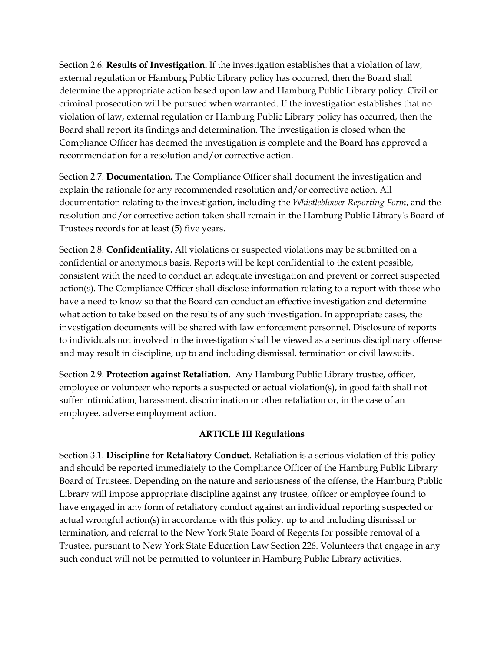Section 2.6. **Results of Investigation.** If the investigation establishes that a violation of law, external regulation or Hamburg Public Library policy has occurred, then the Board shall determine the appropriate action based upon law and Hamburg Public Library policy. Civil or criminal prosecution will be pursued when warranted. If the investigation establishes that no violation of law, external regulation or Hamburg Public Library policy has occurred, then the Board shall report its findings and determination. The investigation is closed when the Compliance Officer has deemed the investigation is complete and the Board has approved a recommendation for a resolution and/or corrective action.

Section 2.7. **Documentation.** The Compliance Officer shall document the investigation and explain the rationale for any recommended resolution and/or corrective action. All documentation relating to the investigation, including the *Whistleblower Reporting Form*, and the resolution and/or corrective action taken shall remain in the Hamburg Public Library's Board of Trustees records for at least (5) five years.

Section 2.8. **Confidentiality.** All violations or suspected violations may be submitted on a confidential or anonymous basis. Reports will be kept confidential to the extent possible, consistent with the need to conduct an adequate investigation and prevent or correct suspected action(s). The Compliance Officer shall disclose information relating to a report with those who have a need to know so that the Board can conduct an effective investigation and determine what action to take based on the results of any such investigation. In appropriate cases, the investigation documents will be shared with law enforcement personnel. Disclosure of reports to individuals not involved in the investigation shall be viewed as a serious disciplinary offense and may result in discipline, up to and including dismissal, termination or civil lawsuits.

Section 2.9. **Protection against Retaliation.** Any Hamburg Public Library trustee, officer, employee or volunteer who reports a suspected or actual violation(s), in good faith shall not suffer intimidation, harassment, discrimination or other retaliation or, in the case of an employee, adverse employment action.

#### **ARTICLE III Regulations**

Section 3.1. **Discipline for Retaliatory Conduct.** Retaliation is a serious violation of this policy and should be reported immediately to the Compliance Officer of the Hamburg Public Library Board of Trustees. Depending on the nature and seriousness of the offense, the Hamburg Public Library will impose appropriate discipline against any trustee, officer or employee found to have engaged in any form of retaliatory conduct against an individual reporting suspected or actual wrongful action(s) in accordance with this policy, up to and including dismissal or termination, and referral to the New York State Board of Regents for possible removal of a Trustee, pursuant to New York State Education Law Section 226. Volunteers that engage in any such conduct will not be permitted to volunteer in Hamburg Public Library activities.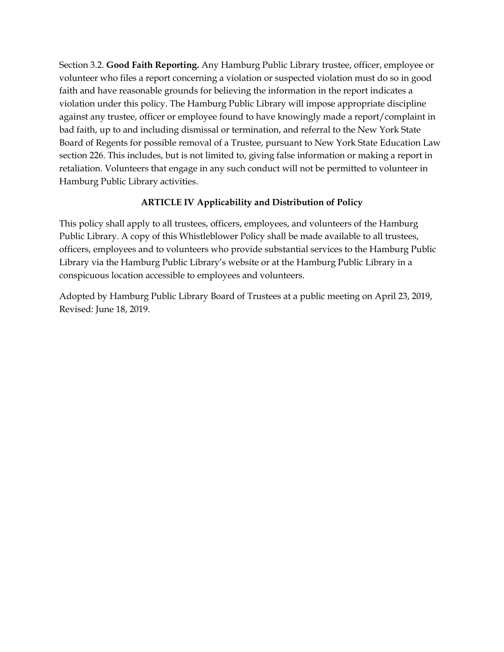Section 3.2. **Good Faith Reporting.** Any Hamburg Public Library trustee, officer, employee or volunteer who files a report concerning a violation or suspected violation must do so in good faith and have reasonable grounds for believing the information in the report indicates a violation under this policy. The Hamburg Public Library will impose appropriate discipline against any trustee, officer or employee found to have knowingly made a report/complaint in bad faith, up to and including dismissal or termination, and referral to the New York State Board of Regents for possible removal of a Trustee, pursuant to New York State Education Law section 226. This includes, but is not limited to, giving false information or making a report in retaliation. Volunteers that engage in any such conduct will not be permitted to volunteer in Hamburg Public Library activities.

#### **ARTICLE IV Applicability and Distribution of Policy**

This policy shall apply to all trustees, officers, employees, and volunteers of the Hamburg Public Library. A copy of this Whistleblower Policy shall be made available to all trustees, officers, employees and to volunteers who provide substantial services to the Hamburg Public Library via the Hamburg Public Library's website or at the Hamburg Public Library in a conspicuous location accessible to employees and volunteers.

Adopted by Hamburg Public Library Board of Trustees at a public meeting on April 23, 2019, Revised: June 18, 2019.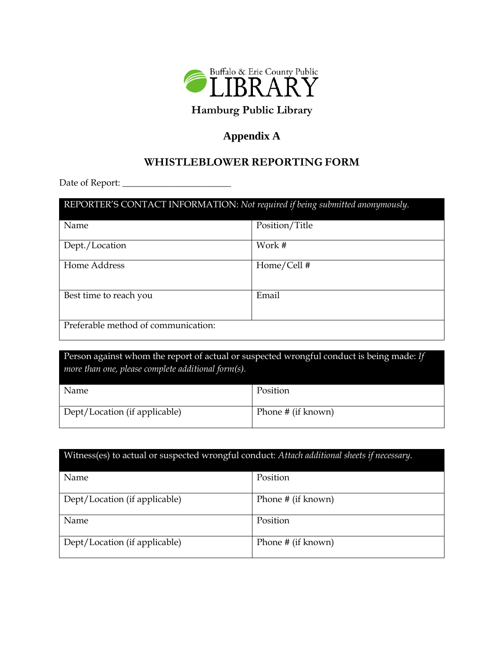

# **Hamburg Public Library**

## **Appendix A**

## **WHISTLEBLOWER REPORTING FORM**

Date of Report: \_\_\_\_\_\_\_\_\_\_\_\_\_\_\_\_\_\_\_\_\_\_\_\_

| REPORTER'S CONTACT INFORMATION: Not required if being submitted anonymously. |                |  |
|------------------------------------------------------------------------------|----------------|--|
| Name                                                                         | Position/Title |  |
| Dept./Location                                                               | Work #         |  |
| Home Address                                                                 | Home/Cell#     |  |
| Best time to reach you                                                       | Email          |  |
| Preferable method of communication:                                          |                |  |

Person against whom the report of actual or suspected wrongful conduct is being made: *If more than one, please complete additional form(s).*

| Name                          | Position           |
|-------------------------------|--------------------|
| Dept/Location (if applicable) | Phone # (if known) |

| Witness(es) to actual or suspected wrongful conduct: Attach additional sheets if necessary. |                    |  |
|---------------------------------------------------------------------------------------------|--------------------|--|
| <b>Name</b>                                                                                 | Position           |  |
| Dept/Location (if applicable)                                                               | Phone # (if known) |  |
| Name                                                                                        | Position           |  |
| Dept/Location (if applicable)                                                               | Phone # (if known) |  |